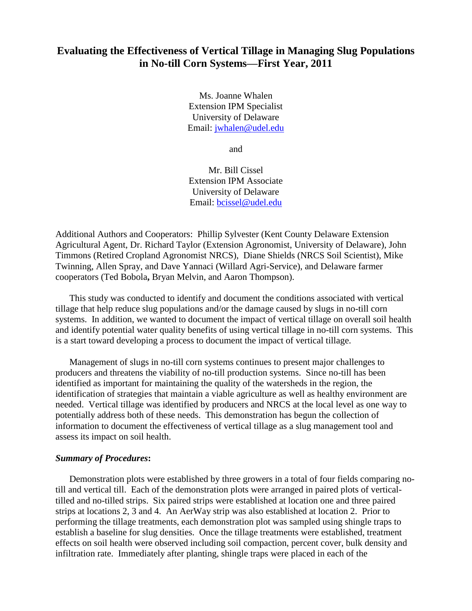# **Evaluating the Effectiveness of Vertical Tillage in Managing Slug Populations in No-till Corn Systems—First Year, 2011**

Ms. Joanne Whalen Extension IPM Specialist University of Delaware Email: [jwhalen@udel.edu](mailto:jwhalen@udel.edu)

and

Mr. Bill Cissel Extension IPM Associate University of Delaware Email: [bcissel@udel.edu](mailto:bcissel@udel.edu)

Additional Authors and Cooperators: Phillip Sylvester (Kent County Delaware Extension Agricultural Agent, Dr. Richard Taylor (Extension Agronomist, University of Delaware), John Timmons (Retired Cropland Agronomist NRCS), Diane Shields (NRCS Soil Scientist), Mike Twinning, Allen Spray, and Dave Yannaci (Willard Agri-Service), and Delaware farmer cooperators (Ted Bobola**,** Bryan Melvin, and Aaron Thompson).

This study was conducted to identify and document the conditions associated with vertical tillage that help reduce slug populations and/or the damage caused by slugs in no-till corn systems. In addition, we wanted to document the impact of vertical tillage on overall soil health and identify potential water quality benefits of using vertical tillage in no-till corn systems. This is a start toward developing a process to document the impact of vertical tillage.

Management of slugs in no-till corn systems continues to present major challenges to producers and threatens the viability of no-till production systems. Since no-till has been identified as important for maintaining the quality of the watersheds in the region, the identification of strategies that maintain a viable agriculture as well as healthy environment are needed. Vertical tillage was identified by producers and NRCS at the local level as one way to potentially address both of these needs. This demonstration has begun the collection of information to document the effectiveness of vertical tillage as a slug management tool and assess its impact on soil health.

#### *Summary of Procedures***:**

Demonstration plots were established by three growers in a total of four fields comparing notill and vertical till. Each of the demonstration plots were arranged in paired plots of verticaltilled and no-tilled strips. Six paired strips were established at location one and three paired strips at locations 2, 3 and 4. An AerWay strip was also established at location 2. Prior to performing the tillage treatments, each demonstration plot was sampled using shingle traps to establish a baseline for slug densities. Once the tillage treatments were established, treatment effects on soil health were observed including soil compaction, percent cover, bulk density and infiltration rate. Immediately after planting, shingle traps were placed in each of the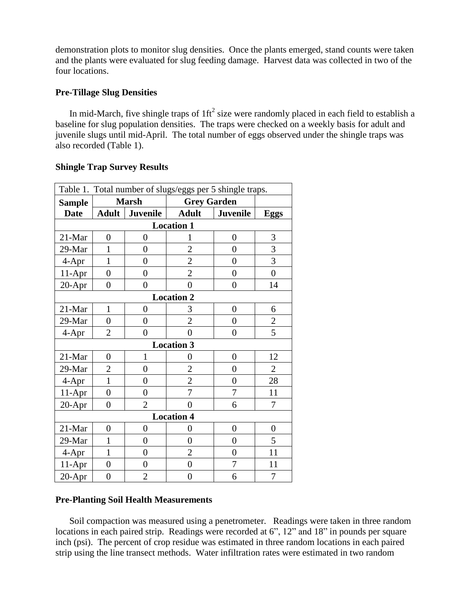demonstration plots to monitor slug densities. Once the plants emerged, stand counts were taken and the plants were evaluated for slug feeding damage. Harvest data was collected in two of the four locations.

# **Pre-Tillage Slug Densities**

In mid-March, five shingle traps of  $1 \text{ ft}^2$  size were randomly placed in each field to establish a baseline for slug population densities. The traps were checked on a weekly basis for adult and juvenile slugs until mid-April. The total number of eggs observed under the shingle traps was also recorded (Table 1).

| Table 1. Total number of slugs/eggs per 5 shingle traps. |                   |                  |                    |                |                |  |
|----------------------------------------------------------|-------------------|------------------|--------------------|----------------|----------------|--|
| <b>Sample</b>                                            | <b>Marsh</b>      |                  | <b>Grey Garden</b> |                |                |  |
| <b>Date</b>                                              |                   | Adult   Juvenile | <b>Adult</b>       | Juvenile       | <b>Eggs</b>    |  |
|                                                          | <b>Location 1</b> |                  |                    |                |                |  |
| 21-Mar                                                   | $\overline{0}$    | 0                | 1                  | 0              | 3              |  |
| 29-Mar                                                   | 1                 | $\overline{0}$   | $\overline{2}$     | $\overline{0}$ | 3              |  |
| $4-Apr$                                                  | 1                 | $\overline{0}$   | $\overline{2}$     | $\overline{0}$ | 3              |  |
| $11-Apr$                                                 | $\overline{0}$    | $\overline{0}$   | $\overline{2}$     | $\overline{0}$ | $\overline{0}$ |  |
| $20-Apr$                                                 | $\overline{0}$    | $\overline{0}$   | $\theta$           | $\overline{0}$ | 14             |  |
|                                                          | <b>Location 2</b> |                  |                    |                |                |  |
| 21-Mar                                                   | $\mathbf{1}$      | $\overline{0}$   | 3                  | $\overline{0}$ | 6              |  |
| 29-Mar                                                   | $\overline{0}$    | $\overline{0}$   | $\overline{2}$     | $\overline{0}$ | $\overline{2}$ |  |
| $4-Apr$                                                  | $\overline{2}$    | $\overline{0}$   | $\theta$           | $\overline{0}$ | 5              |  |
| <b>Location 3</b>                                        |                   |                  |                    |                |                |  |
| 21-Mar                                                   | $\overline{0}$    | 1                | $\overline{0}$     | $\overline{0}$ | 12             |  |
| 29-Mar                                                   | $\overline{2}$    | $\overline{0}$   | $\overline{2}$     | $\overline{0}$ | $\overline{2}$ |  |
| $4-Apr$                                                  | $\mathbf{1}$      | $\overline{0}$   | $\overline{2}$     | $\overline{0}$ | 28             |  |
| $11-Apr$                                                 | $\overline{0}$    | $\overline{0}$   | 7                  | 7              | 11             |  |
| 20-Apr                                                   | $\overline{0}$    | $\overline{2}$   | 0                  | 6              | 7              |  |
| <b>Location 4</b>                                        |                   |                  |                    |                |                |  |
| 21-Mar                                                   | $\overline{0}$    | $\overline{0}$   | $\overline{0}$     | $\overline{0}$ | $\overline{0}$ |  |
| 29-Mar                                                   | 1                 | $\overline{0}$   | $\overline{0}$     | $\overline{0}$ | 5              |  |
| 4-Apr                                                    | $\mathbf{1}$      | $\overline{0}$   | $\overline{2}$     | $\overline{0}$ | 11             |  |
| $11-Apr$                                                 | $\overline{0}$    | $\overline{0}$   | $\overline{0}$     | 7              | 11             |  |
| 20-Apr                                                   | $\overline{0}$    | $\overline{2}$   | $\overline{0}$     | 6              | 7              |  |

# **Shingle Trap Survey Results**

## **Pre-Planting Soil Health Measurements**

Soil compaction was measured using a penetrometer. Readings were taken in three random locations in each paired strip. Readings were recorded at 6", 12" and 18" in pounds per square inch (psi). The percent of crop residue was estimated in three random locations in each paired strip using the line transect methods. Water infiltration rates were estimated in two random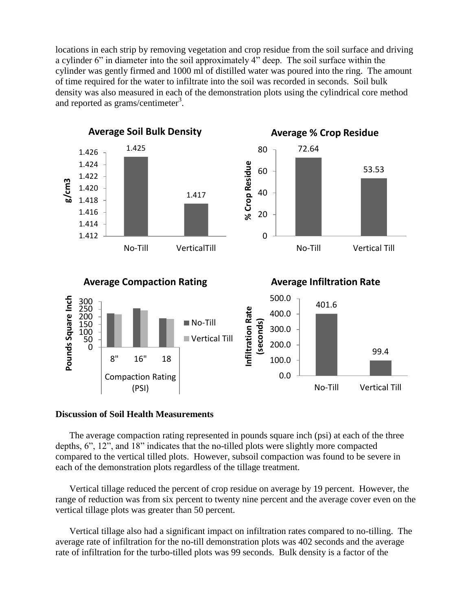locations in each strip by removing vegetation and crop residue from the soil surface and driving a cylinder 6" in diameter into the soil approximately 4" deep. The soil surface within the cylinder was gently firmed and 1000 ml of distilled water was poured into the ring. The amount of time required for the water to infiltrate into the soil was recorded in seconds. Soil bulk density was also measured in each of the demonstration plots using the cylindrical core method and reported as grams/centimeter<sup>3</sup>.



#### **Discussion of Soil Health Measurements**

The average compaction rating represented in pounds square inch (psi) at each of the three depths, 6", 12", and 18" indicates that the no-tilled plots were slightly more compacted compared to the vertical tilled plots. However, subsoil compaction was found to be severe in each of the demonstration plots regardless of the tillage treatment.

Vertical tillage reduced the percent of crop residue on average by 19 percent. However, the range of reduction was from six percent to twenty nine percent and the average cover even on the vertical tillage plots was greater than 50 percent.

Vertical tillage also had a significant impact on infiltration rates compared to no-tilling. The average rate of infiltration for the no-till demonstration plots was 402 seconds and the average rate of infiltration for the turbo-tilled plots was 99 seconds. Bulk density is a factor of the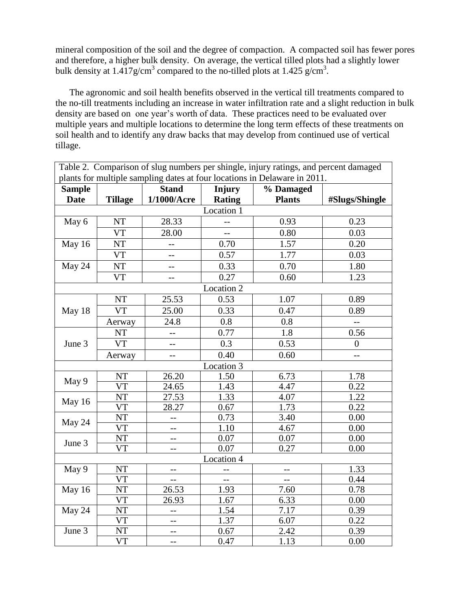mineral composition of the soil and the degree of compaction. A compacted soil has fewer pores and therefore, a higher bulk density. On average, the vertical tilled plots had a slightly lower bulk density at  $1.417$  g/cm<sup>3</sup> compared to the no-tilled plots at  $1.425$  g/cm<sup>3</sup>.

The agronomic and soil health benefits observed in the vertical till treatments compared to the no-till treatments including an increase in water infiltration rate and a slight reduction in bulk density are based on one year's worth of data. These practices need to be evaluated over multiple years and multiple locations to determine the long term effects of these treatments on soil health and to identify any draw backs that may develop from continued use of vertical tillage.

| Table 2. Comparison of slug numbers per shingle, injury ratings, and percent damaged |                        |                |                          |               |                  |
|--------------------------------------------------------------------------------------|------------------------|----------------|--------------------------|---------------|------------------|
| plants for multiple sampling dates at four locations in Delaware in 2011.            |                        |                |                          |               |                  |
| <b>Sample</b>                                                                        |                        | <b>Stand</b>   | Injury                   | % Damaged     |                  |
| <b>Date</b>                                                                          | <b>Tillage</b>         | 1/1000/Acre    | <b>Rating</b>            | <b>Plants</b> | #Slugs/Shingle   |
| Location 1                                                                           |                        |                |                          |               |                  |
| May 6                                                                                | <b>NT</b>              | 28.33          | $\overline{\phantom{a}}$ | 0.93          | 0.23             |
|                                                                                      | <b>VT</b>              | 28.00          | $-$                      | 0.80          | 0.03             |
| May 16                                                                               | <b>NT</b>              |                | 0.70                     | 1.57          | 0.20             |
|                                                                                      | <b>VT</b>              | $-$            | 0.57                     | 1.77          | 0.03             |
| May 24                                                                               | NT                     | $-$            | 0.33                     | 0.70          | 1.80             |
|                                                                                      | <b>VT</b>              | $-$            | 0.27                     | 0.60          | 1.23             |
|                                                                                      |                        |                | Location 2               |               |                  |
|                                                                                      | <b>NT</b>              | 25.53          | 0.53                     | 1.07          | 0.89             |
| May 18                                                                               | <b>VT</b>              | 25.00          | 0.33                     | 0.47          | 0.89             |
|                                                                                      | Aerway                 | 24.8           | 0.8                      | $0.8\,$       |                  |
|                                                                                      | NT                     | --             | 0.77                     | 1.8           | 0.56             |
| June 3                                                                               | <b>VT</b>              | $\overline{a}$ | 0.3                      | 0.53          | $\boldsymbol{0}$ |
|                                                                                      | Aerway                 | --             | 0.40                     | 0.60          | $\overline{a}$   |
|                                                                                      |                        |                | Location 3               |               |                  |
| May 9                                                                                | <b>NT</b>              | 26.20          | 1.50                     | 6.73          | 1.78             |
|                                                                                      | <b>VT</b>              | 24.65          | 1.43                     | 4.47          | 0.22             |
| May 16                                                                               | <b>NT</b>              | 27.53          | 1.33                     | 4.07          | 1.22             |
|                                                                                      | <b>VT</b>              | 28.27          | 0.67                     | 1.73          | 0.22             |
| May 24                                                                               | <b>NT</b>              | $-$            | 0.73                     | 3.40          | 0.00             |
|                                                                                      | <b>VT</b>              |                | 1.10                     | 4.67          | 0.00             |
| June 3                                                                               | <b>NT</b>              | --             | 0.07                     | 0.07          | 0.00             |
|                                                                                      | <b>VT</b>              | --             | 0.07                     | 0.27          | 0.00             |
| Location 4                                                                           |                        |                |                          |               |                  |
| May 9                                                                                | <b>NT</b>              |                |                          |               | 1.33             |
|                                                                                      | <b>VT</b><br><b>NT</b> | --             |                          | $-$           | 0.44             |
| May 16                                                                               | <b>VT</b>              | 26.53<br>26.93 | 1.93<br>1.67             | 7.60<br>6.33  | 0.78<br>0.00     |
| May 24                                                                               | <b>NT</b>              | --             | 1.54                     | 7.17          | 0.39             |
|                                                                                      | <b>VT</b>              | $-$            | 1.37                     | 6.07          | 0.22             |
| June 3                                                                               | NT                     | --             | 0.67                     | 2.42          | 0.39             |
|                                                                                      | <b>VT</b>              | --             | 0.47                     | 1.13          | 0.00             |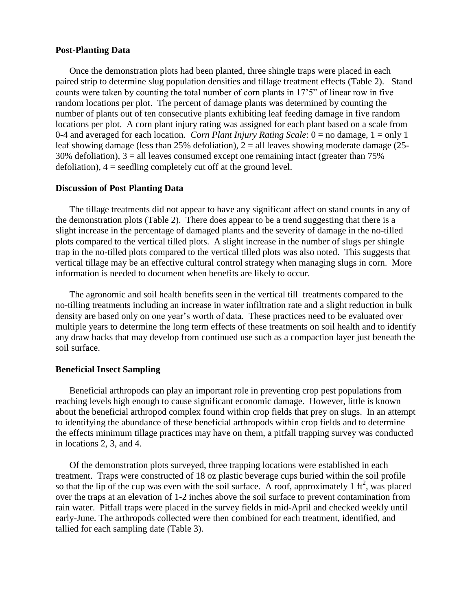## **Post-Planting Data**

Once the demonstration plots had been planted, three shingle traps were placed in each paired strip to determine slug population densities and tillage treatment effects (Table 2). Stand counts were taken by counting the total number of corn plants in 17'5" of linear row in five random locations per plot. The percent of damage plants was determined by counting the number of plants out of ten consecutive plants exhibiting leaf feeding damage in five random locations per plot. A corn plant injury rating was assigned for each plant based on a scale from 0-4 and averaged for each location. *Corn Plant Injury Rating Scale*: 0 = no damage, 1 = only 1 leaf showing damage (less than 25% defoliation),  $2 =$  all leaves showing moderate damage (25-30% defoliation),  $3 =$  all leaves consumed except one remaining intact (greater than  $75\%$ defoliation),  $4 =$  seedling completely cut off at the ground level.

### **Discussion of Post Planting Data**

The tillage treatments did not appear to have any significant affect on stand counts in any of the demonstration plots (Table 2). There does appear to be a trend suggesting that there is a slight increase in the percentage of damaged plants and the severity of damage in the no-tilled plots compared to the vertical tilled plots. A slight increase in the number of slugs per shingle trap in the no-tilled plots compared to the vertical tilled plots was also noted. This suggests that vertical tillage may be an effective cultural control strategy when managing slugs in corn. More information is needed to document when benefits are likely to occur.

The agronomic and soil health benefits seen in the vertical till treatments compared to the no-tilling treatments including an increase in water infiltration rate and a slight reduction in bulk density are based only on one year's worth of data. These practices need to be evaluated over multiple years to determine the long term effects of these treatments on soil health and to identify any draw backs that may develop from continued use such as a compaction layer just beneath the soil surface.

# **Beneficial Insect Sampling**

Beneficial arthropods can play an important role in preventing crop pest populations from reaching levels high enough to cause significant economic damage. However, little is known about the beneficial arthropod complex found within crop fields that prey on slugs. In an attempt to identifying the abundance of these beneficial arthropods within crop fields and to determine the effects minimum tillage practices may have on them, a pitfall trapping survey was conducted in locations 2, 3, and 4.

Of the demonstration plots surveyed, three trapping locations were established in each treatment. Traps were constructed of 18 oz plastic beverage cups buried within the soil profile so that the lip of the cup was even with the soil surface. A roof, approximately 1  $\text{ft}^2$ , was placed over the traps at an elevation of 1-2 inches above the soil surface to prevent contamination from rain water. Pitfall traps were placed in the survey fields in mid-April and checked weekly until early-June. The arthropods collected were then combined for each treatment, identified, and tallied for each sampling date (Table 3).